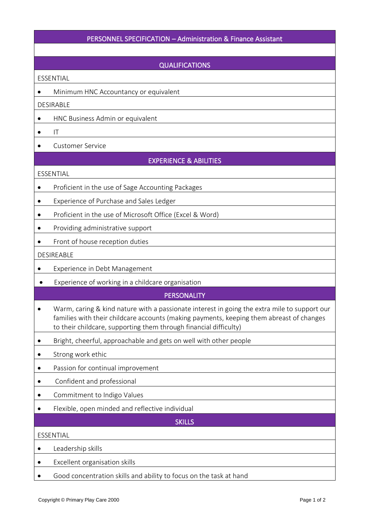# PERSONNEL SPECIFICATION – Administration & Finance Assistant

### QUALIFICATIONS

ESSENTIAL

• Minimum HNC Accountancy or equivalent

DESIRABLE

- HNC Business Admin or equivalent
- $\bullet$  IT
- Customer Service

## EXPERIENCE & ABILITIES

#### ESSENTIAL

- Proficient in the use of Sage Accounting Packages
- Experience of Purchase and Sales Ledger
- Proficient in the use of Microsoft Office (Excel & Word)
- Providing administrative support
- Front of house reception duties

#### DESIREABLE

- Experience in Debt Management
- Experience of working in a childcare organisation

## **PERSONALITY**

- Warm, caring & kind nature with a passionate interest in going the extra mile to support our families with their childcare accounts (making payments, keeping them abreast of changes to their childcare, supporting them through financial difficulty)
- Bright, cheerful, approachable and gets on well with other people
- Strong work ethic
- Passion for continual improvement
- Confident and professional
- Commitment to Indigo Values
- Flexible, open minded and reflective individual

**SKILLS** 

### ESSENTIAL

- Leadership skills
- Excellent organisation skills
- Good concentration skills and ability to focus on the task at hand